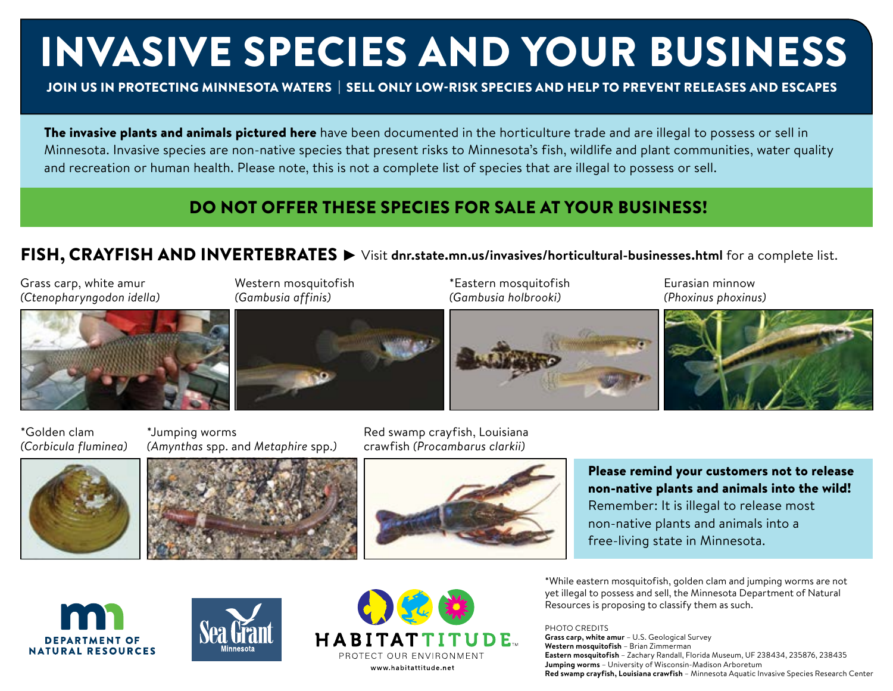# INVASIVE SPECIES AND YOUR BUSINESS

#### JOIN US IN PROTECTING MINNESOTA WATERS | SELL ONLY LOW-RISK SPECIES AND HELP TO PREVENT RELEASES AND ESCAPES

The invasive plants and animals pictured here have been documented in the horticulture trade and are illegal to possess or sell in Minnesota. Invasive species are non-native species that present risks to Minnesota's fish, wildlife and plant communities, water quality and recreation or human health. Please note, this is not a complete list of species that are illegal to possess or sell.

## DO NOT OFFER THESE SPECIES FOR SALE AT YOUR BUSINESS!

## FISH, CRAYFISH AND INVERTEBRATES > Visit dnr.state.mn.us/invasives/horticultural-businesses.html for a complete list.

Grass carp, white amur *(Ctenopharyngodon idella)*



Western mosquitofish *(Gambusia affinis)* 

\*Eastern mosquitofish *(Gambusia holbrooki)* 





\*Jumping worms *(Amynthas* spp. and *Metaphire* spp.*)*  Red swamp crayfish, Louisiana crawfish *(Procambarus clarkii)* 



*(Corbicula fluminea)*

\*Golden clam





Please remind your customers not to release non-native plants and animals into the wild! Remember: It is illegal to release most non-native plants and animals into a free-living state in Minnesota.







Resources is proposing to classify them as such. PHOTO CREDITS **Grass carp, white amur** – U.S. Geological Survey **Western mosquitofish** – Brian Zimmerman

\*While eastern mosquitofish, golden clam and jumping worms are not yet illegal to possess and sell, the Minnesota Department of Natural

**Eastern mosquitofish** – Zachary Randall, Florida Museum, UF 238434, 235876, 238435 **Jumping worms** – University of Wisconsin-Madison Arboretum **Red swamp crayfish, Louisiana crawfish** – Minnesota Aquatic Invasive Species Research Center